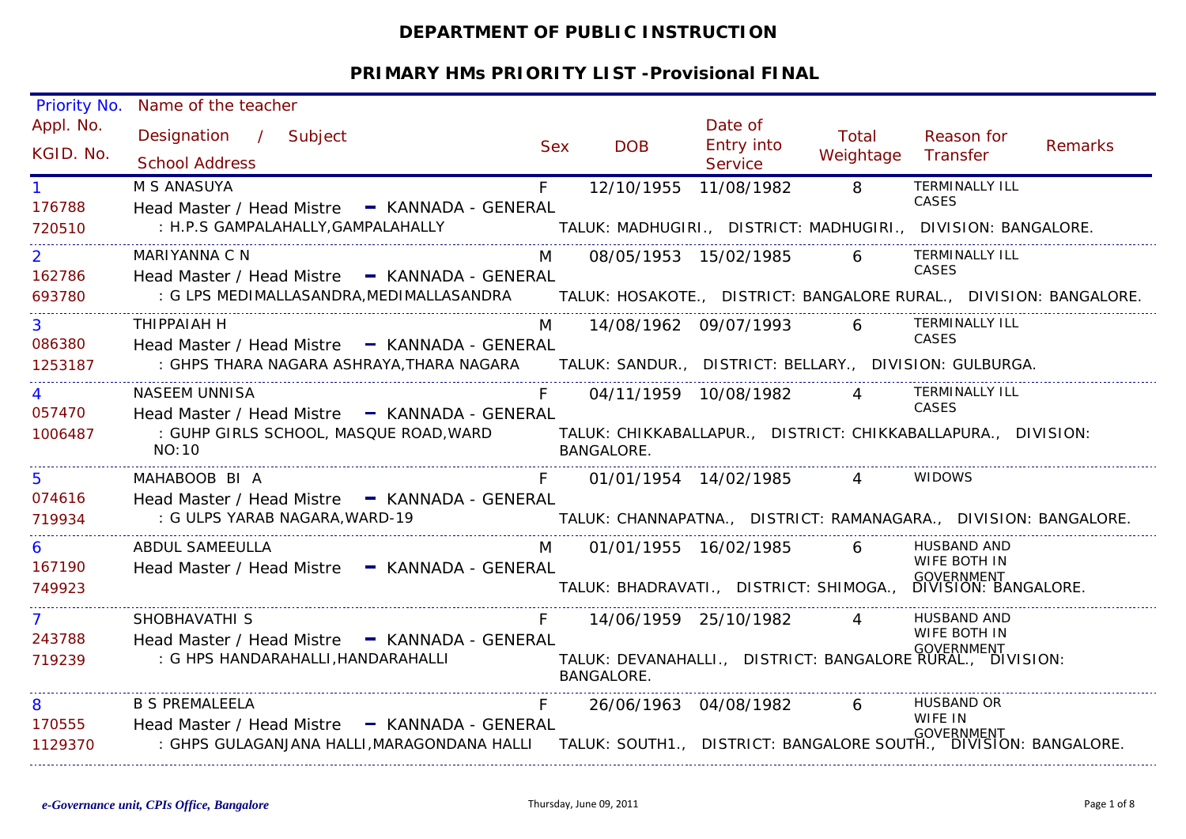# **DEPARTMENT OF PUBLIC INSTRUCTION**

| Appl. No.<br>Date of<br>Total<br>Designation / Subject<br>Reason for<br>Entry into<br>Remarks<br><b>DOB</b><br><b>Sex</b><br>KGID. No.<br>Weightage<br>Transfer<br><b>School Address</b><br>Service<br><b>TERMINALLY ILL</b><br>8<br>12/10/1955 11/08/1982<br>M S ANASUYA<br>F<br><b>CASES</b><br>176788<br>Head Master / Head Mistre - KANNADA - GENERAL<br>: H.P.S GAMPALAHALLY, GAMPALAHALLY TALUK: MADHUGIRI., DISTRICT: MADHUGIRI., DIVISION: BANGALORE.<br>720510<br><b>TERMINALLY ILL</b><br>6<br>MARIYANNA C N<br>08/05/1953 15/02/1985<br>$\overline{2}$<br>M<br><b>CASES</b><br>162786<br>Head Master / Head Mistre - KANNADA - GENERAL<br>: G LPS MEDIMALLASANDRA,MEDIMALLASANDRA TALUK: HOSAKOTE., DISTRICT: BANGALORE RURAL., DIVISION: BANGALORE.<br>693780<br>6 TERMINALLY ILL<br>3 <sup>1</sup><br>THIPPAIAH H<br>M<br>14/08/1962 09/07/1993<br>CASES<br>086380<br>Head Master / Head Mistre - KANNADA - GENERAL<br>: GHPS THARA NAGARA ASHRAYA, THARA NAGARA TALUK: SANDUR., DISTRICT: BELLARY., DIVISION: GULBURGA.<br>1253187<br>TERMINALLY ILL<br><b>NASEEM UNNISA</b><br>$\overline{4}$<br>$\overline{4}$<br>04/11/1959 10/08/1982<br>CASES<br>057470<br>Head Master / Head Mistre - KANNADA - GENERAL<br>: GUHP GIRLS SCHOOL, MASQUE ROAD,WARD              TALUK: CHIKKABALLAPUR.,   DISTRICT: CHIKKABALLAPURA.,   DIVISION:<br>1006487<br>NO:10<br>BANGALORE.<br>01/01/1954 14/02/1985 4<br><b>WIDOWS</b><br>5<br>MAHABOOB BI A<br>074616<br>Head Master / Head Mistre - KANNADA - GENERAL<br>: G ULPS YARAB NAGARA, WARD-19<br>TALUK: CHANNAPATNA., DISTRICT: RAMANAGARA., DIVISION: BANGALORE.<br>719934<br><b>ABDUL SAMEEULLA</b><br><b>M</b><br>HUSBAND AND<br>01/01/1955 16/02/1985<br>6<br>6<br>WIFE BOTH IN<br>167190<br>Head Master / Head Mistre - KANNADA - GENERAL<br>TALUK: BHADRAVATI., DISTRICT: SHIMOGA., DIVISION: BANGALORE.<br>749923<br>HUSBAND AND<br>SHOBHAVATHI S<br>7<br>14/06/1959 25/10/1982<br>$\overline{4}$<br>WIFE BOTH IN<br>243788<br>Head Master / Head Mistre - KANNADA - GENERAL<br><b>GOVERNMENT</b><br>TALUK: DEVANAHALLI., DISTRICT: BANGALORE RURAL., DIVISION:<br>: G HPS HANDARAHALLI, HANDARAHALLI<br>719239<br>BANGALORE.<br><b>HUSBAND OR</b><br>8<br><b>B S PREMALEELA</b><br>26/06/1963 04/08/1982<br>6<br>WIFE IN<br>170555<br>Head Master / Head Mistre - KANNADA - GENERAL<br><b>GOVERNMENT</b><br>: GHPS GULAGANJANA HALLI,MARAGONDANA HALLI     TALUK: SOUTH1.,   DISTRICT: BANGALORE SOUTH.,  DIVISION: BANGALORE.<br>1129370 | Priority No. | Name of the teacher |  |  |  |
|----------------------------------------------------------------------------------------------------------------------------------------------------------------------------------------------------------------------------------------------------------------------------------------------------------------------------------------------------------------------------------------------------------------------------------------------------------------------------------------------------------------------------------------------------------------------------------------------------------------------------------------------------------------------------------------------------------------------------------------------------------------------------------------------------------------------------------------------------------------------------------------------------------------------------------------------------------------------------------------------------------------------------------------------------------------------------------------------------------------------------------------------------------------------------------------------------------------------------------------------------------------------------------------------------------------------------------------------------------------------------------------------------------------------------------------------------------------------------------------------------------------------------------------------------------------------------------------------------------------------------------------------------------------------------------------------------------------------------------------------------------------------------------------------------------------------------------------------------------------------------------------------------------------------------------------------------------------------------------------------------------------------------------------------------------------------------------------------------------------------------------------------------------------------------------------------------------------------------------------------------------------------------------------------------------------------------------------------------------------------------------------------------------------------------------------------------------------------------------------------------------|--------------|---------------------|--|--|--|
|                                                                                                                                                                                                                                                                                                                                                                                                                                                                                                                                                                                                                                                                                                                                                                                                                                                                                                                                                                                                                                                                                                                                                                                                                                                                                                                                                                                                                                                                                                                                                                                                                                                                                                                                                                                                                                                                                                                                                                                                                                                                                                                                                                                                                                                                                                                                                                                                                                                                                                          |              |                     |  |  |  |
|                                                                                                                                                                                                                                                                                                                                                                                                                                                                                                                                                                                                                                                                                                                                                                                                                                                                                                                                                                                                                                                                                                                                                                                                                                                                                                                                                                                                                                                                                                                                                                                                                                                                                                                                                                                                                                                                                                                                                                                                                                                                                                                                                                                                                                                                                                                                                                                                                                                                                                          |              |                     |  |  |  |
|                                                                                                                                                                                                                                                                                                                                                                                                                                                                                                                                                                                                                                                                                                                                                                                                                                                                                                                                                                                                                                                                                                                                                                                                                                                                                                                                                                                                                                                                                                                                                                                                                                                                                                                                                                                                                                                                                                                                                                                                                                                                                                                                                                                                                                                                                                                                                                                                                                                                                                          |              |                     |  |  |  |
|                                                                                                                                                                                                                                                                                                                                                                                                                                                                                                                                                                                                                                                                                                                                                                                                                                                                                                                                                                                                                                                                                                                                                                                                                                                                                                                                                                                                                                                                                                                                                                                                                                                                                                                                                                                                                                                                                                                                                                                                                                                                                                                                                                                                                                                                                                                                                                                                                                                                                                          |              |                     |  |  |  |
|                                                                                                                                                                                                                                                                                                                                                                                                                                                                                                                                                                                                                                                                                                                                                                                                                                                                                                                                                                                                                                                                                                                                                                                                                                                                                                                                                                                                                                                                                                                                                                                                                                                                                                                                                                                                                                                                                                                                                                                                                                                                                                                                                                                                                                                                                                                                                                                                                                                                                                          |              |                     |  |  |  |
|                                                                                                                                                                                                                                                                                                                                                                                                                                                                                                                                                                                                                                                                                                                                                                                                                                                                                                                                                                                                                                                                                                                                                                                                                                                                                                                                                                                                                                                                                                                                                                                                                                                                                                                                                                                                                                                                                                                                                                                                                                                                                                                                                                                                                                                                                                                                                                                                                                                                                                          |              |                     |  |  |  |
|                                                                                                                                                                                                                                                                                                                                                                                                                                                                                                                                                                                                                                                                                                                                                                                                                                                                                                                                                                                                                                                                                                                                                                                                                                                                                                                                                                                                                                                                                                                                                                                                                                                                                                                                                                                                                                                                                                                                                                                                                                                                                                                                                                                                                                                                                                                                                                                                                                                                                                          |              |                     |  |  |  |
|                                                                                                                                                                                                                                                                                                                                                                                                                                                                                                                                                                                                                                                                                                                                                                                                                                                                                                                                                                                                                                                                                                                                                                                                                                                                                                                                                                                                                                                                                                                                                                                                                                                                                                                                                                                                                                                                                                                                                                                                                                                                                                                                                                                                                                                                                                                                                                                                                                                                                                          |              |                     |  |  |  |
|                                                                                                                                                                                                                                                                                                                                                                                                                                                                                                                                                                                                                                                                                                                                                                                                                                                                                                                                                                                                                                                                                                                                                                                                                                                                                                                                                                                                                                                                                                                                                                                                                                                                                                                                                                                                                                                                                                                                                                                                                                                                                                                                                                                                                                                                                                                                                                                                                                                                                                          |              |                     |  |  |  |
|                                                                                                                                                                                                                                                                                                                                                                                                                                                                                                                                                                                                                                                                                                                                                                                                                                                                                                                                                                                                                                                                                                                                                                                                                                                                                                                                                                                                                                                                                                                                                                                                                                                                                                                                                                                                                                                                                                                                                                                                                                                                                                                                                                                                                                                                                                                                                                                                                                                                                                          |              |                     |  |  |  |
|                                                                                                                                                                                                                                                                                                                                                                                                                                                                                                                                                                                                                                                                                                                                                                                                                                                                                                                                                                                                                                                                                                                                                                                                                                                                                                                                                                                                                                                                                                                                                                                                                                                                                                                                                                                                                                                                                                                                                                                                                                                                                                                                                                                                                                                                                                                                                                                                                                                                                                          |              |                     |  |  |  |
|                                                                                                                                                                                                                                                                                                                                                                                                                                                                                                                                                                                                                                                                                                                                                                                                                                                                                                                                                                                                                                                                                                                                                                                                                                                                                                                                                                                                                                                                                                                                                                                                                                                                                                                                                                                                                                                                                                                                                                                                                                                                                                                                                                                                                                                                                                                                                                                                                                                                                                          |              |                     |  |  |  |
|                                                                                                                                                                                                                                                                                                                                                                                                                                                                                                                                                                                                                                                                                                                                                                                                                                                                                                                                                                                                                                                                                                                                                                                                                                                                                                                                                                                                                                                                                                                                                                                                                                                                                                                                                                                                                                                                                                                                                                                                                                                                                                                                                                                                                                                                                                                                                                                                                                                                                                          |              |                     |  |  |  |
|                                                                                                                                                                                                                                                                                                                                                                                                                                                                                                                                                                                                                                                                                                                                                                                                                                                                                                                                                                                                                                                                                                                                                                                                                                                                                                                                                                                                                                                                                                                                                                                                                                                                                                                                                                                                                                                                                                                                                                                                                                                                                                                                                                                                                                                                                                                                                                                                                                                                                                          |              |                     |  |  |  |
|                                                                                                                                                                                                                                                                                                                                                                                                                                                                                                                                                                                                                                                                                                                                                                                                                                                                                                                                                                                                                                                                                                                                                                                                                                                                                                                                                                                                                                                                                                                                                                                                                                                                                                                                                                                                                                                                                                                                                                                                                                                                                                                                                                                                                                                                                                                                                                                                                                                                                                          |              |                     |  |  |  |
|                                                                                                                                                                                                                                                                                                                                                                                                                                                                                                                                                                                                                                                                                                                                                                                                                                                                                                                                                                                                                                                                                                                                                                                                                                                                                                                                                                                                                                                                                                                                                                                                                                                                                                                                                                                                                                                                                                                                                                                                                                                                                                                                                                                                                                                                                                                                                                                                                                                                                                          |              |                     |  |  |  |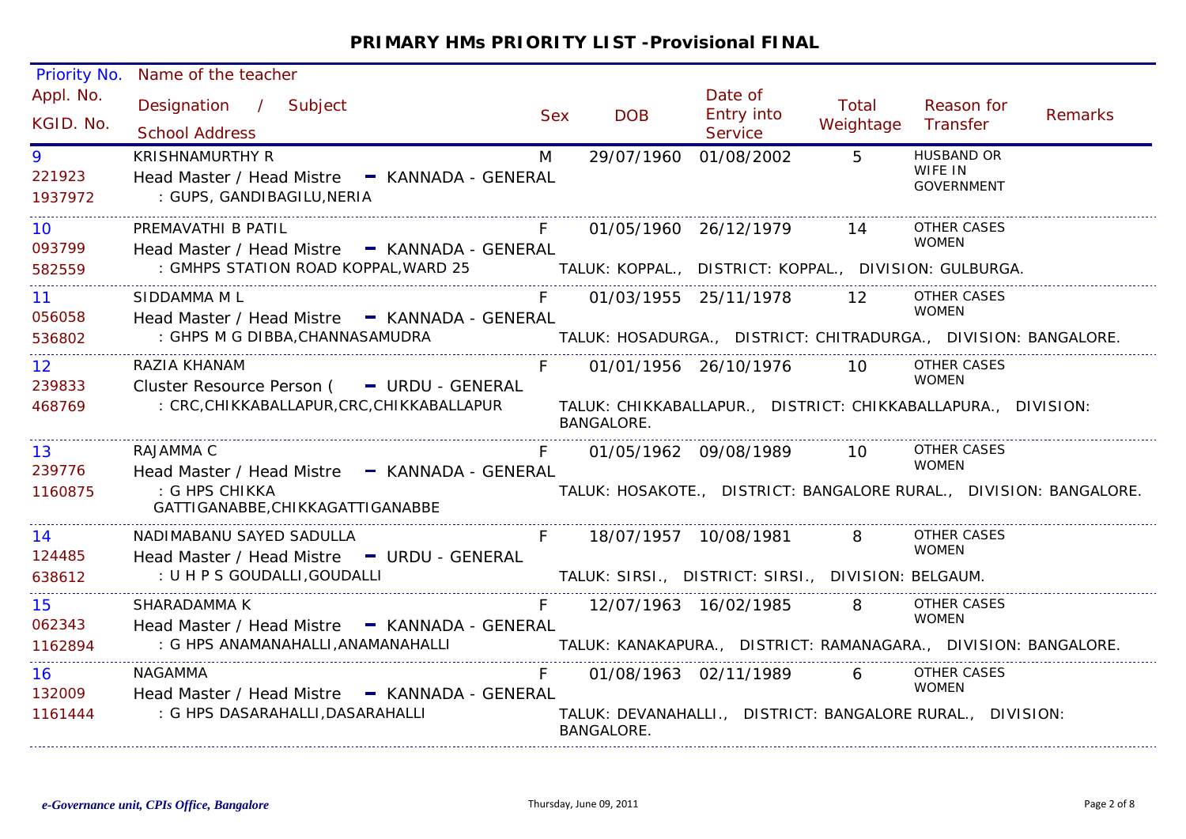| Priority No.                         | Name of the teacher                                                                                              |            |                                                                                    |                                  |                    |                                                   |         |
|--------------------------------------|------------------------------------------------------------------------------------------------------------------|------------|------------------------------------------------------------------------------------|----------------------------------|--------------------|---------------------------------------------------|---------|
| Appl. No.<br>KGID. No.               | Designation / Subject<br><b>School Address</b>                                                                   | <b>Sex</b> | <b>DOB</b>                                                                         | Date of<br>Entry into<br>Service | Total<br>Weightage | Reason for<br>Transfer                            | Remarks |
| 9<br>221923<br>1937972               | <b>KRISHNAMURTHY R</b><br>Head Master / Head Mistre - KANNADA - GENERAL<br>: GUPS, GANDIBAGILU, NERIA            | M          | 29/07/1960                                                                         | 01/08/2002                       | $5^{\circ}$        | <b>HUSBAND OR</b><br>WIFE IN<br><b>GOVERNMENT</b> |         |
| 10.<br>093799<br>582559              | PREMAVATHI B PATIL<br>Head Master / Head Mistre - KANNADA - GENERAL<br>: GMHPS STATION ROAD KOPPAL, WARD 25      |            | TALUK: KOPPAL., DISTRICT: KOPPAL., DIVISION: GULBURGA.                             | 01/05/1960 26/12/1979            | 14                 | <b>OTHER CASES</b><br><b>WOMEN</b>                |         |
| 11<br>056058<br>536802               | SIDDAMMA M L<br>Head Master / Head Mistre - KANNADA - GENERAL<br>: GHPS M G DIBBA, CHANNASAMUDRA                 |            | TALUK: HOSADURGA., DISTRICT: CHITRADURGA., DIVISION: BANGALORE.                    | 01/03/1955 25/11/1978            | 12 <sup>7</sup>    | OTHER CASES<br><b>WOMEN</b>                       |         |
| 12 <sup>2</sup><br>239833<br>468769  | RAZIA KHANAM<br>Cluster Resource Person ( - URDU - GENERAL<br>: CRC, CHIKKABALLAPUR, CRC, CHIKKABALLAPUR         |            | TALUK: CHIKKABALLAPUR., DISTRICT: CHIKKABALLAPURA., DIVISION:<br><b>BANGALORE.</b> | 01/01/1956 26/10/1976            | <b>10</b>          | OTHER CASES<br><b>WOMEN</b>                       |         |
| 13 <sup>°</sup><br>239776<br>1160875 | RAJAMMA C<br>Head Master / Head Mistre - KANNADA - GENERAL<br>: G HPS CHIKKA<br>GATTIGANABBE, CHIKKAGATTIGANABBE |            | TALUK: HOSAKOTE., DISTRICT: BANGALORE RURAL., DIVISION: BANGALORE.                 | 01/05/1962 09/08/1989            | 10                 | <b>OTHER CASES</b><br><b>WOMEN</b>                |         |
| 14<br>124485<br>638612               | NADIMABANU SAYED SADULLA<br>Head Master / Head Mistre - URDU - GENERAL<br>: U H P S GOUDALLI, GOUDALLI           | $F -$      | TALUK: SIRSI., DISTRICT: SIRSI., DIVISION: BELGAUM.                                | 18/07/1957 10/08/1981            | 8                  | <b>OTHER CASES</b><br><b>WOMEN</b>                |         |
| 15<br>062343<br>1162894              | SHARADAMMA K<br>Head Master / Head Mistre - KANNADA - GENERAL<br>: G HPS ANAMANAHALLI,ANAMANAHALLI               | F          | TALUK: KANAKAPURA., DISTRICT: RAMANAGARA., DIVISION: BANGALORE.                    | 12/07/1963 16/02/1985            | 8                  | <b>OTHER CASES</b><br><b>WOMEN</b>                |         |
| 16<br>132009<br>1161444              | NAGAMMA<br>Head Master / Head Mistre - KANNADA - GENERAL<br>: G HPS DASARAHALLI,DASARAHALLI                      |            | TALUK: DEVANAHALLI., DISTRICT: BANGALORE RURAL., DIVISION:<br>BANGALORE.           | 01/08/1963 02/11/1989            | 6                  | OTHER CASES<br><b>WOMEN</b>                       |         |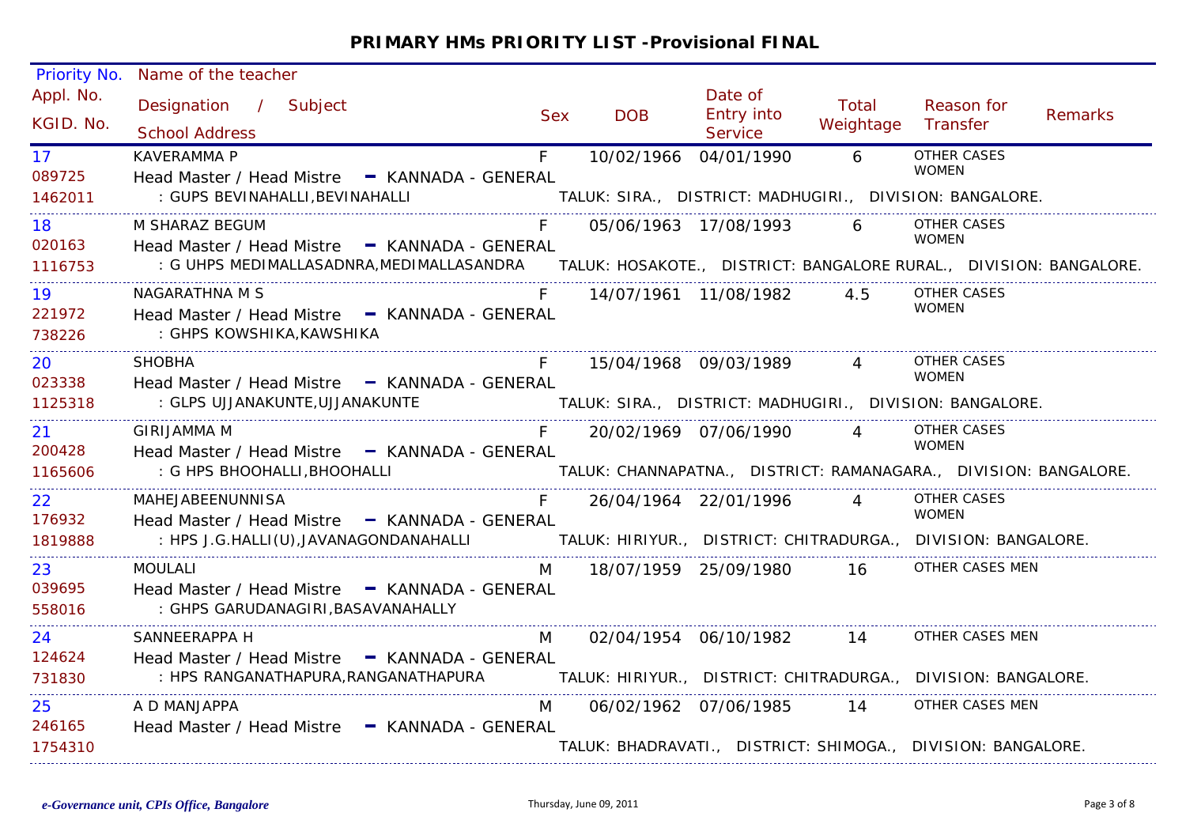| <b>Priority No.</b>       | Name of the teacher                                                                                                                                 |            |                                                                  |                                         |                    |                                    |         |
|---------------------------|-----------------------------------------------------------------------------------------------------------------------------------------------------|------------|------------------------------------------------------------------|-----------------------------------------|--------------------|------------------------------------|---------|
| Appl. No.<br>KGID. No.    | Designation / Subject<br><b>School Address</b>                                                                                                      | <b>Sex</b> | <b>DOB</b>                                                       | Date of<br>Entry into<br><b>Service</b> | Total<br>Weightage | Reason for<br>Transfer             | Remarks |
| 17 <sup>2</sup><br>089725 | <b>KAVERAMMA P</b><br>Head Master / Head Mistre - KANNADA - GENERAL                                                                                 | $F =$      | 10/02/1966 04/01/1990                                            |                                         | $\overline{6}$     | <b>OTHER CASES</b><br><b>WOMEN</b> |         |
| 1462011                   | : GUPS BEVINAHALLI, BEVINAHALLI                                                                                                                     |            | TALUK: SIRA., DISTRICT: MADHUGIRI., DIVISION: BANGALORE.         |                                         |                    |                                    |         |
| 18<br>020163              | M SHARAZ BEGUM<br>Head Master / Head Mistre - KANNADA - GENERAL                                                                                     |            |                                                                  | 05/06/1963 17/08/1993                   | 6 - 10             | <b>OTHER CASES</b><br><b>WOMEN</b> |         |
| 1116753                   | : G UHPS MEDIMALLASADNRA, MEDIMALLASANDRA TALUK: HOSAKOTE., DISTRICT: BANGALORE RURAL., DIVISION: BANGALORE.                                        |            |                                                                  |                                         |                    |                                    |         |
| 19<br>221972<br>738226    | NAGARATHNA M S<br>Head Master / Head Mistre - KANNADA - GENERAL<br>: GHPS KOWSHIKA,KAWSHIKA                                                         |            |                                                                  | 14/07/1961 11/08/1982 4.5               |                    | <b>OTHER CASES</b><br><b>WOMEN</b> |         |
| 20<br>023338              | <b>SHOBHA</b><br>Head Master / Head Mistre - KANNADA - GENERAL                                                                                      | F          |                                                                  | 15/04/1968 09/03/1989 4                 |                    | OTHER CASES<br><b>WOMEN</b>        |         |
| 1125318                   | : GLPS UJJANAKUNTE, UJJANAKUNTE                                                                                                                     |            | TALUK: SIRA., DISTRICT: MADHUGIRI., DIVISION: BANGALORE.         |                                         |                    |                                    |         |
| 21<br>200428              | GIRIJAMMA M<br>Head Master / Head Mistre - KANNADA - GENERAL                                                                                        |            |                                                                  | 20/02/1969 07/06/1990 4                 |                    | OTHER CASES<br><b>WOMEN</b>        |         |
| 1165606                   | : G HPS BHOOHALLI, BHOOHALLI                                                                                                                        |            | TALUK: CHANNAPATNA., DISTRICT: RAMANAGARA., DIVISION: BANGALORE. |                                         |                    |                                    |         |
| 22 <sub>2</sub><br>176932 | MAHEJABEENUNNISA<br>Head Master / Head Mistre - KANNADA - GENERAL                                                                                   |            |                                                                  | 26/04/1964 22/01/1996                   |                    | OTHER CASES<br><b>WOMEN</b>        |         |
| 1819888                   | : HPS J.G.HALLI(U),JAVANAGONDANAHALLI                 TALUK: HIRIYUR.,  DISTRICT: CHITRADURGA.,  DIVISION: BANGALORE.                               |            |                                                                  |                                         |                    |                                    |         |
| 23<br>039695<br>558016    | <b>MOULALI</b><br>Head Master / Head Mistre - KANNADA - GENERAL<br>: GHPS GARUDANAGIRI, BASAVANAHALLY                                               | M          |                                                                  | 18/07/1959 25/09/1980 16                |                    | OTHER CASES MEN                    |         |
| 24                        | SANNEERAPPA H                                                                                                                                       | M          |                                                                  | 02/04/1954 06/10/1982 14                |                    | OTHER CASES MEN                    |         |
| 124624<br>731830          | Head Master / Head Mistre - KANNADA - GENERAL<br>: HPS RANGANATHAPURA, RANGANATHAPURA TALUK: HIRIYUR., DISTRICT: CHITRADURGA., DIVISION: BANGALORE. |            |                                                                  |                                         |                    |                                    |         |
| 25<br>246165              | A D MANJAPPA<br>Head Master / Head Mistre - KANNADA - GENERAL                                                                                       | M          |                                                                  | 06/02/1962 07/06/1985 14                |                    | OTHER CASES MEN                    |         |
| 1754310                   |                                                                                                                                                     |            | TALUK: BHADRAVATI., DISTRICT: SHIMOGA., DIVISION: BANGALORE.     |                                         |                    |                                    |         |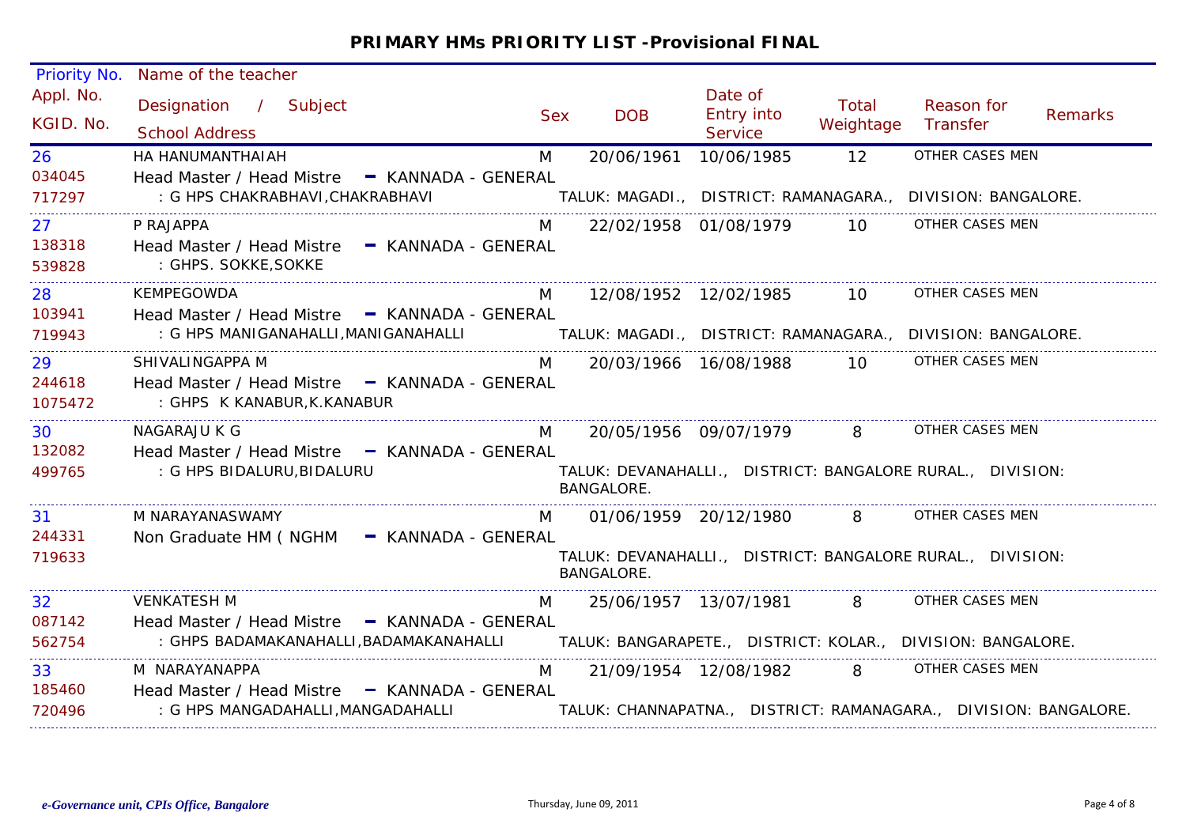| Name of the teacher                            |                      |                                                                                                                                                                                                                                                                                                                                                                                                                                           |                                        |                       |                                                                            |                                                                                                                                                                                                                                                                                                                                                                                                                                                                                                                                                                                                                                                                                     |
|------------------------------------------------|----------------------|-------------------------------------------------------------------------------------------------------------------------------------------------------------------------------------------------------------------------------------------------------------------------------------------------------------------------------------------------------------------------------------------------------------------------------------------|----------------------------------------|-----------------------|----------------------------------------------------------------------------|-------------------------------------------------------------------------------------------------------------------------------------------------------------------------------------------------------------------------------------------------------------------------------------------------------------------------------------------------------------------------------------------------------------------------------------------------------------------------------------------------------------------------------------------------------------------------------------------------------------------------------------------------------------------------------------|
| Designation / Subject<br><b>School Address</b> | <b>Sex</b>           | <b>DOB</b>                                                                                                                                                                                                                                                                                                                                                                                                                                | Date of<br>Entry into<br>Service       | Total<br>Weightage    | Reason for<br>Transfer                                                     | <b>Remarks</b>                                                                                                                                                                                                                                                                                                                                                                                                                                                                                                                                                                                                                                                                      |
| HA HANUMANTHAIAH                               | M                    | 20/06/1961                                                                                                                                                                                                                                                                                                                                                                                                                                | 10/06/1985                             | 12                    |                                                                            |                                                                                                                                                                                                                                                                                                                                                                                                                                                                                                                                                                                                                                                                                     |
|                                                |                      |                                                                                                                                                                                                                                                                                                                                                                                                                                           |                                        |                       |                                                                            |                                                                                                                                                                                                                                                                                                                                                                                                                                                                                                                                                                                                                                                                                     |
| : G HPS CHAKRABHAVI, CHAKRABHAVI               |                      |                                                                                                                                                                                                                                                                                                                                                                                                                                           |                                        |                       |                                                                            |                                                                                                                                                                                                                                                                                                                                                                                                                                                                                                                                                                                                                                                                                     |
| P RAJAPPA                                      | M                    |                                                                                                                                                                                                                                                                                                                                                                                                                                           |                                        | 10                    |                                                                            |                                                                                                                                                                                                                                                                                                                                                                                                                                                                                                                                                                                                                                                                                     |
|                                                |                      |                                                                                                                                                                                                                                                                                                                                                                                                                                           |                                        |                       |                                                                            |                                                                                                                                                                                                                                                                                                                                                                                                                                                                                                                                                                                                                                                                                     |
|                                                |                      |                                                                                                                                                                                                                                                                                                                                                                                                                                           |                                        |                       |                                                                            |                                                                                                                                                                                                                                                                                                                                                                                                                                                                                                                                                                                                                                                                                     |
| KEMPEGOWDA                                     | M                    |                                                                                                                                                                                                                                                                                                                                                                                                                                           |                                        |                       |                                                                            |                                                                                                                                                                                                                                                                                                                                                                                                                                                                                                                                                                                                                                                                                     |
|                                                |                      |                                                                                                                                                                                                                                                                                                                                                                                                                                           |                                        |                       |                                                                            |                                                                                                                                                                                                                                                                                                                                                                                                                                                                                                                                                                                                                                                                                     |
|                                                |                      |                                                                                                                                                                                                                                                                                                                                                                                                                                           |                                        |                       |                                                                            |                                                                                                                                                                                                                                                                                                                                                                                                                                                                                                                                                                                                                                                                                     |
| SHIVALINGAPPA M                                | M                    |                                                                                                                                                                                                                                                                                                                                                                                                                                           |                                        | 10                    |                                                                            |                                                                                                                                                                                                                                                                                                                                                                                                                                                                                                                                                                                                                                                                                     |
| : GHPS K KANABUR, K. KANABUR                   |                      |                                                                                                                                                                                                                                                                                                                                                                                                                                           |                                        |                       |                                                                            |                                                                                                                                                                                                                                                                                                                                                                                                                                                                                                                                                                                                                                                                                     |
| NAGARAJU K G                                   | M                    |                                                                                                                                                                                                                                                                                                                                                                                                                                           |                                        |                       |                                                                            |                                                                                                                                                                                                                                                                                                                                                                                                                                                                                                                                                                                                                                                                                     |
|                                                |                      |                                                                                                                                                                                                                                                                                                                                                                                                                                           |                                        |                       |                                                                            |                                                                                                                                                                                                                                                                                                                                                                                                                                                                                                                                                                                                                                                                                     |
| : G HPS BIDALURU, BIDALURU                     |                      |                                                                                                                                                                                                                                                                                                                                                                                                                                           |                                        |                       |                                                                            |                                                                                                                                                                                                                                                                                                                                                                                                                                                                                                                                                                                                                                                                                     |
| M NARAYANASWAMY                                | M                    |                                                                                                                                                                                                                                                                                                                                                                                                                                           |                                        |                       |                                                                            |                                                                                                                                                                                                                                                                                                                                                                                                                                                                                                                                                                                                                                                                                     |
|                                                |                      |                                                                                                                                                                                                                                                                                                                                                                                                                                           |                                        |                       |                                                                            |                                                                                                                                                                                                                                                                                                                                                                                                                                                                                                                                                                                                                                                                                     |
|                                                |                      |                                                                                                                                                                                                                                                                                                                                                                                                                                           |                                        |                       |                                                                            |                                                                                                                                                                                                                                                                                                                                                                                                                                                                                                                                                                                                                                                                                     |
| <b>VENKATESH M</b>                             | M                    |                                                                                                                                                                                                                                                                                                                                                                                                                                           |                                        |                       |                                                                            |                                                                                                                                                                                                                                                                                                                                                                                                                                                                                                                                                                                                                                                                                     |
|                                                |                      |                                                                                                                                                                                                                                                                                                                                                                                                                                           |                                        |                       |                                                                            |                                                                                                                                                                                                                                                                                                                                                                                                                                                                                                                                                                                                                                                                                     |
|                                                |                      |                                                                                                                                                                                                                                                                                                                                                                                                                                           |                                        |                       |                                                                            |                                                                                                                                                                                                                                                                                                                                                                                                                                                                                                                                                                                                                                                                                     |
| M NARAYANAPPA                                  | M                    |                                                                                                                                                                                                                                                                                                                                                                                                                                           |                                        |                       |                                                                            |                                                                                                                                                                                                                                                                                                                                                                                                                                                                                                                                                                                                                                                                                     |
|                                                |                      |                                                                                                                                                                                                                                                                                                                                                                                                                                           |                                        |                       |                                                                            |                                                                                                                                                                                                                                                                                                                                                                                                                                                                                                                                                                                                                                                                                     |
| : G HPS MANGADAHALLI, MANGADAHALLI             |                      |                                                                                                                                                                                                                                                                                                                                                                                                                                           |                                        |                       |                                                                            |                                                                                                                                                                                                                                                                                                                                                                                                                                                                                                                                                                                                                                                                                     |
|                                                | : GHPS. SOKKE, SOKKE | Head Master / Head Mistre - KANNADA - GENERAL<br>Head Master / Head Mistre - KANNADA - GENERAL<br>Head Master / Head Mistre - KANNADA - GENERAL<br>: G HPS MANIGANAHALLI, MANIGANAHALLI<br>Head Master / Head Mistre - KANNADA - GENERAL<br>Head Master / Head Mistre - KANNADA - GENERAL<br>Non Graduate HM ( NGHM - KANNADA - GENERAL<br>Head Master / Head Mistre - KANNADA - GENERAL<br>Head Master / Head Mistre - KANNADA - GENERAL | <b>BANGALORE.</b><br><b>BANGALORE.</b> | 21/09/1954 12/08/1982 | 22/02/1958 01/08/1979<br>12/08/1952 12/02/1985 10<br>20/03/1966 16/08/1988 | OTHER CASES MEN<br>TALUK: MAGADI., DISTRICT: RAMANAGARA., DIVISION: BANGALORE.<br>OTHER CASES MEN<br>OTHER CASES MEN<br>TALUK: MAGADI.,  DISTRICT: RAMANAGARA.,  DIVISION: BANGALORE.<br>OTHER CASES MEN<br>20/05/1956 09/07/1979 8<br>OTHER CASES MEN<br>TALUK: DEVANAHALLI., DISTRICT: BANGALORE RURAL., DIVISION:<br>01/06/1959 20/12/1980 8 OTHER CASES MEN<br>TALUK: DEVANAHALLI., DISTRICT: BANGALORE RURAL., DIVISION:<br>25/06/1957 13/07/1981 8<br>OTHER CASES MEN<br>: GHPS BADAMAKANAHALLI, BADAMAKANAHALLI TALUK: BANGARAPETE., DISTRICT: KOLAR., DIVISION: BANGALORE.<br>8 - 10<br>OTHER CASES MEN<br>TALUK: CHANNAPATNA., DISTRICT: RAMANAGARA., DIVISION: BANGALORE. |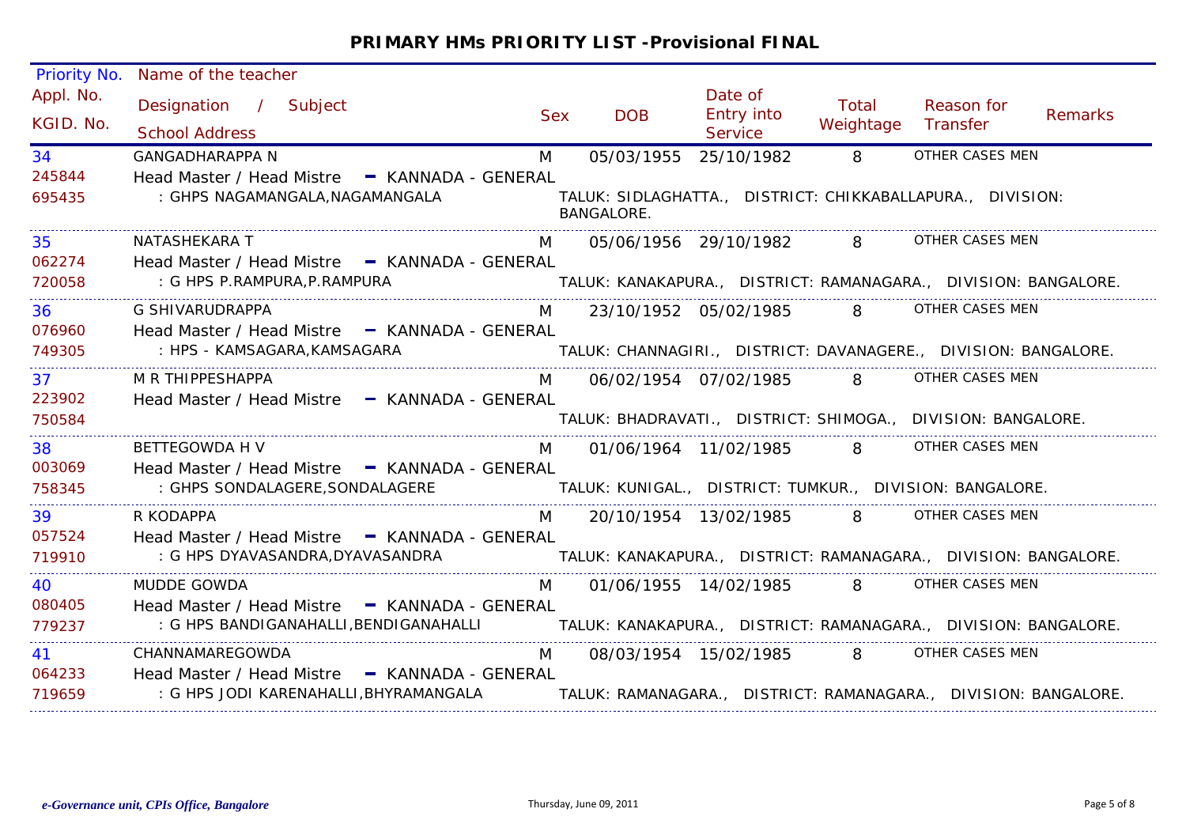| Priority No.           | Name of the teacher                                                                                                        |            |                   |                                         |                    |                                                                 |         |
|------------------------|----------------------------------------------------------------------------------------------------------------------------|------------|-------------------|-----------------------------------------|--------------------|-----------------------------------------------------------------|---------|
| Appl. No.<br>KGID. No. | Designation / Subject<br><b>School Address</b>                                                                             | <b>Sex</b> | <b>DOB</b>        | Date of<br><b>Entry into</b><br>Service | Total<br>Weightage | Reason for<br>Transfer                                          | Remarks |
| 34                     | <b>GANGADHARAPPA N</b>                                                                                                     | M          | 05/03/1955        | 25/10/1982                              | 8 <sup>8</sup>     | OTHER CASES MEN                                                 |         |
| 245844<br>695435       | Head Master / Head Mistre - KANNADA - GENERAL<br>: GHPS NAGAMANGALA, NAGAMANGALA                                           |            | <b>BANGALORE.</b> |                                         |                    | TALUK: SIDLAGHATTA., DISTRICT: CHIKKABALLAPURA., DIVISION:      |         |
| 35                     | NATASHEKARA T                                                                                                              | M          |                   |                                         |                    | 05/06/1956 29/10/1982 8 OTHER CASES MEN                         |         |
| 062274                 | Head Master / Head Mistre - KANNADA - GENERAL                                                                              |            |                   |                                         |                    |                                                                 |         |
| 720058                 |                                                                                                                            |            |                   |                                         |                    |                                                                 |         |
| 36                     | G SHIVARUDRAPPA                                                                                                            |            |                   |                                         |                    | M 23/10/1952 05/02/1985 8 OTHER CASES MEN                       |         |
| 076960                 | Head Master / Head Mistre - KANNADA - GENERAL                                                                              |            |                   |                                         |                    |                                                                 |         |
| 749305                 | : HPS - KAMSAGARA,KAMSAGARA                                                                                                |            |                   |                                         |                    | TALUK: CHANNAGIRI., DISTRICT: DAVANAGERE., DIVISION: BANGALORE. |         |
| 37                     | M R THIPPESHAPPA                                                                                                           |            |                   |                                         |                    | M 06/02/1954 07/02/1985 8 OTHER CASES MEN                       |         |
| 223902                 | Head Master / Head Mistre - KANNADA - GENERAL                                                                              |            |                   |                                         |                    |                                                                 |         |
| 750584                 |                                                                                                                            |            |                   |                                         |                    | TALUK: BHADRAVATI., DISTRICT: SHIMOGA., DIVISION: BANGALORE.    |         |
| 38                     | <b>BETTEGOWDA H V</b>                                                                                                      | M          |                   |                                         |                    | 01/06/1964 11/02/1985 8 OTHER CASES MEN                         |         |
| 003069                 | Head Master / Head Mistre - KANNADA - GENERAL                                                                              |            |                   |                                         |                    |                                                                 |         |
| 758345                 | : GHPS SONDALAGERE, SONDALAGERE                                                                                            |            |                   |                                         |                    | TALUK: KUNIGAL., DISTRICT: TUMKUR., DIVISION: BANGALORE.        |         |
| 39                     | R KODAPPA                                                                                                                  | M          |                   |                                         |                    | 20/10/1954 13/02/1985 8 OTHER CASES MEN                         |         |
| 057524                 | Head Master / Head Mistre - KANNADA - GENERAL                                                                              |            |                   |                                         |                    |                                                                 |         |
| 719910                 | : G HPS DYAVASANDRA,DYAVASANDRA                        TALUK: KANAKAPURA.,   DISTRICT: RAMANAGARA.,   DIVISION: BANGALORE. |            |                   |                                         |                    |                                                                 |         |
| 40                     | <b>MUDDE GOWDA</b>                                                                                                         | M          |                   |                                         |                    | 01/06/1955 14/02/1985 8 OTHER CASES MEN                         |         |
| 080405                 | Head Master / Head Mistre - KANNADA - GENERAL                                                                              |            |                   |                                         |                    |                                                                 |         |
| 779237                 | : G HPS BANDIGANAHALLI,BENDIGANAHALLI               TALUK: KANAKAPURA.,   DISTRICT: RAMANAGARA.,   DIVISION: BANGALORE.    |            |                   |                                         |                    |                                                                 |         |
| 41                     | CHANNAMAREGOWDA                                                                                                            | M          |                   | 08/03/1954 15/02/1985 8                 |                    | OTHER CASES MEN                                                 |         |
| 064233                 | Head Master / Head Mistre - KANNADA - GENERAL                                                                              |            |                   |                                         |                    |                                                                 |         |
| 719659                 | : G HPS JODI KARENAHALLI,BHYRAMANGALA                 TALUK: RAMANAGARA.,   DISTRICT: RAMANAGARA.,   DIVISION: BANGALORE.  |            |                   |                                         |                    |                                                                 |         |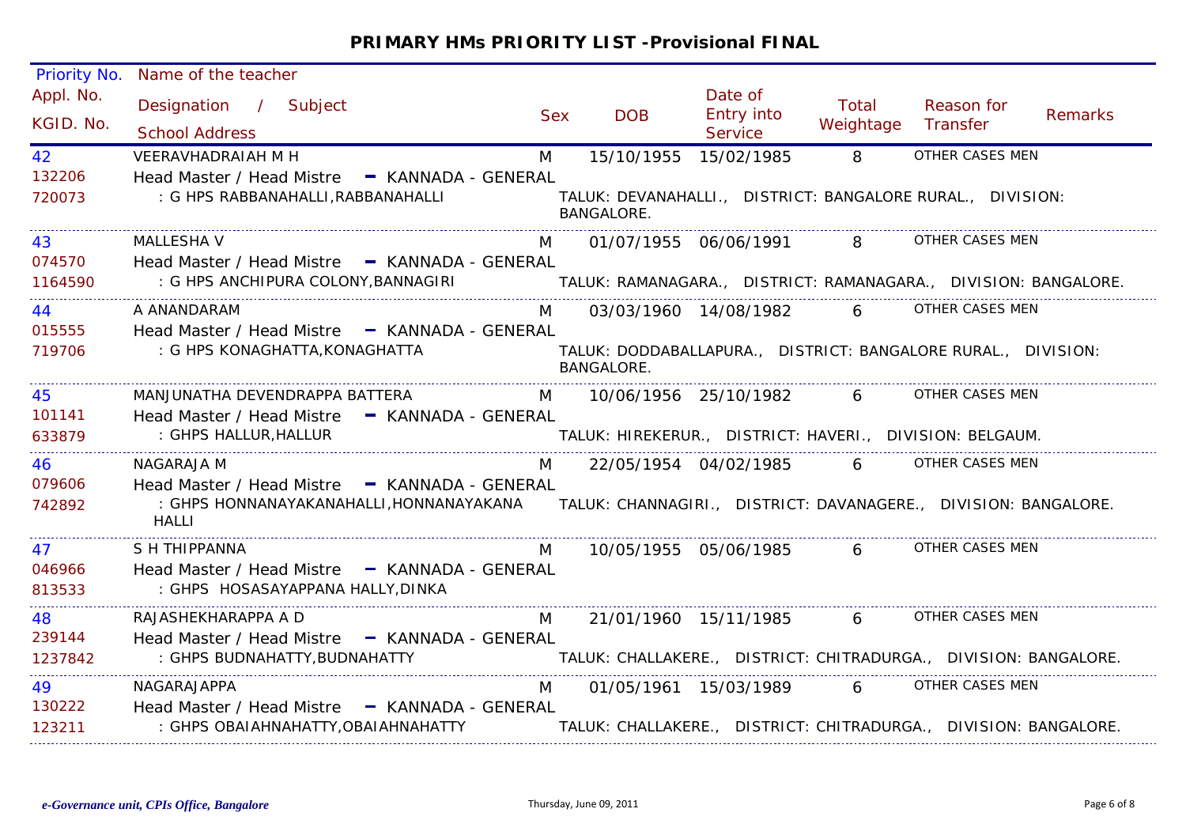| Priority No.           | Name of the teacher                                                                                                               |                |                       |                                         |                    |                                                                    |         |
|------------------------|-----------------------------------------------------------------------------------------------------------------------------------|----------------|-----------------------|-----------------------------------------|--------------------|--------------------------------------------------------------------|---------|
| Appl. No.<br>KGID. No. | Designation / Subject<br><b>School Address</b>                                                                                    | <b>Sex</b>     | <b>DOB</b>            | Date of<br><b>Entry into</b><br>Service | Total<br>Weightage | Reason for<br>Transfer                                             | Remarks |
| 42                     | VEERAVHADRAIAH M H                                                                                                                | M              | 15/10/1955 15/02/1985 |                                         | 8                  | OTHER CASES MEN                                                    |         |
| 132206<br>720073       | Head Master / Head Mistre - KANNADA - GENERAL<br>: G HPS RABBANAHALLI, RABBANAHALLI                                               |                | <b>BANGALORE.</b>     |                                         |                    | TALUK: DEVANAHALLI., DISTRICT: BANGALORE RURAL., DIVISION:         |         |
| 43                     | <b>MALLESHA V</b>                                                                                                                 | M              |                       |                                         |                    | 01/07/1955 06/06/1991 8 OTHER CASES MEN                            |         |
| 074570<br>1164590      | Head Master / Head Mistre - KANNADA - GENERAL<br>: G HPS ANCHIPURA COLONY, BANNAGIRI                                              |                |                       |                                         |                    | TALUK: RAMANAGARA., DISTRICT: RAMANAGARA., DIVISION: BANGALORE.    |         |
| 44                     | A ANANDARAM                                                                                                                       | M <sub>a</sub> |                       | 03/03/1960 14/08/1982                   |                    | 6 OTHER CASES MEN                                                  |         |
| 015555                 | Head Master / Head Mistre - KANNADA - GENERAL                                                                                     |                |                       |                                         |                    |                                                                    |         |
| 719706                 | : G HPS KONAGHATTA, KONAGHATTA                                                                                                    |                | BANGALORE.            |                                         |                    | TALUK: DODDABALLAPURA., DISTRICT: BANGALORE RURAL., DIVISION:      |         |
| 45                     | MANJUNATHA DEVENDRAPPA BATTERA                                                                                                    | M              |                       | 10/06/1956 25/10/1982 6                 |                    | OTHER CASES MEN                                                    |         |
| 101141                 | Head Master / Head Mistre - KANNADA - GENERAL                                                                                     |                |                       |                                         |                    |                                                                    |         |
| 633879                 | : GHPS HALLUR, HALLUR                                                                                                             |                |                       |                                         |                    | TALUK: HIREKERUR., DISTRICT: HAVERI., DIVISION: BELGAUM.           |         |
| 46                     | NAGARAJA M                                                                                                                        | M              |                       | 22/05/1954 04/02/1985 6                 |                    | OTHER CASES MEN                                                    |         |
| 079606                 | Head Master / Head Mistre - KANNADA - GENERAL                                                                                     |                |                       |                                         |                    |                                                                    |         |
| 742892                 | : GHPS HONNANAYAKANAHALLI,HONNANAYAKANA       TALUK: CHANNAGIRI.,   DISTRICT: DAVANAGERE.,   DIVISION: BANGALORE.<br><b>HALLI</b> |                |                       |                                         |                    |                                                                    |         |
| 47                     | S H THIPPANNA                                                                                                                     | M              |                       | 10/05/1955 05/06/1985 6                 |                    | OTHER CASES MEN                                                    |         |
| 046966                 | Head Master / Head Mistre - KANNADA - GENERAL                                                                                     |                |                       |                                         |                    |                                                                    |         |
| 813533                 | : GHPS HOSASAYAPPANA HALLY, DINKA                                                                                                 |                |                       |                                         |                    |                                                                    |         |
| 48                     | RAJASHEKHARAPPA A D                                                                                                               | M              |                       |                                         |                    | 21/01/1960 15/11/1985 6 OTHER CASES MEN                            |         |
| 239144                 | Head Master / Head Mistre - KANNADA - GENERAL                                                                                     |                |                       |                                         |                    |                                                                    |         |
| 1237842                | : GHPS BUDNAHATTY, BUDNAHATTY                                                                                                     |                |                       |                                         |                    | TALUK: CHALLAKERE., DISTRICT: CHITRADURGA., DIVISION: BANGALORE.   |         |
| 49                     | NAGARAJAPPA                                                                                                                       | M              |                       |                                         |                    | 01/05/1961 15/03/1989 6 OTHER CASES MEN                            |         |
| 130222                 | Head Master / Head Mistre - KANNADA - GENERAL                                                                                     |                |                       |                                         |                    |                                                                    |         |
| 123211                 | : GHPS OBAIAHNAHATTY, OBAIAHNAHATTY                                                                                               |                |                       |                                         |                    | TALUK: CHALLAKERE.,  DISTRICT: CHITRADURGA.,  DIVISION: BANGALORE. |         |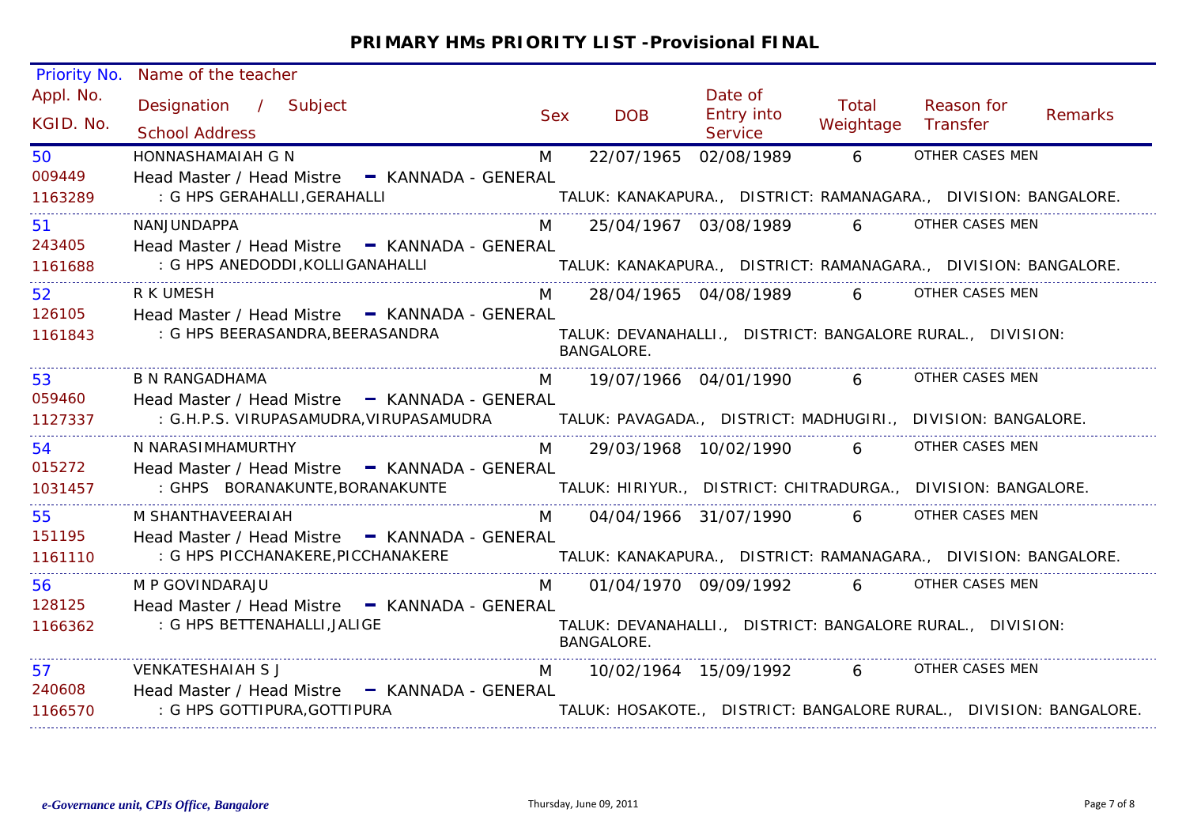| <b>Priority No.</b>    | Name of the teacher                                                                                  |            |                   |                                                |                    |                                                                    |                |
|------------------------|------------------------------------------------------------------------------------------------------|------------|-------------------|------------------------------------------------|--------------------|--------------------------------------------------------------------|----------------|
| Appl. No.<br>KGID. No. | Designation / Subject<br><b>School Address</b>                                                       | <b>Sex</b> | <b>DOB</b>        | Date of<br><b>Entry into</b><br><b>Service</b> | Total<br>Weightage | Reason for<br>Transfer                                             | <b>Remarks</b> |
| 50                     | HONNASHAMAIAH G N                                                                                    | M          | 22/07/1965        | 02/08/1989                                     | 6 <sup>1</sup>     | OTHER CASES MEN                                                    |                |
| 009449                 | Head Master / Head Mistre - KANNADA - GENERAL                                                        |            |                   |                                                |                    |                                                                    |                |
| 1163289                | : G HPS GERAHALLI,GERAHALLI                                                                          |            |                   |                                                |                    | TALUK: KANAKAPURA.,  DISTRICT: RAMANAGARA.,  DIVISION: BANGALORE.  |                |
| 51                     | NANJUNDAPPA                                                                                          | M          |                   | 25/04/1967 03/08/1989 6                        |                    | OTHER CASES MEN                                                    |                |
| 243405                 | Head Master / Head Mistre - KANNADA - GENERAL                                                        |            |                   |                                                |                    |                                                                    |                |
| 1161688                | : G HPS ANEDODDI,KOLLIGANAHALLI                                                                      |            |                   |                                                |                    | TALUK: KANAKAPURA., DISTRICT: RAMANAGARA., DIVISION: BANGALORE.    |                |
| 52                     | R K UMESH                                                                                            | M          |                   |                                                |                    | 28/04/1965 04/08/1989 6 OTHER CASES MEN                            |                |
| 126105                 | Head Master / Head Mistre - KANNADA - GENERAL                                                        |            |                   |                                                |                    |                                                                    |                |
| 1161843                | : G HPS BEERASANDRA, BEERASANDRA                                                                     |            | <b>BANGALORE.</b> |                                                |                    | TALUK: DEVANAHALLI., DISTRICT: BANGALORE RURAL., DIVISION:         |                |
| 53                     | <b>B N RANGADHAMA</b>                                                                                | M          |                   | 19/07/1966 04/01/1990                          | $6 \quad$          | OTHER CASES MEN                                                    |                |
| 059460                 | Head Master / Head Mistre - KANNADA - GENERAL                                                        |            |                   |                                                |                    |                                                                    |                |
| 1127337                | : G.H.P.S. VIRUPASAMUDRA, VIRUPASAMUDRA TALUK: PAVAGADA., DISTRICT: MADHUGIRI., DIVISION: BANGALORE. |            |                   |                                                |                    |                                                                    |                |
| 54                     | N NARASIMHAMURTHY                                                                                    | M          |                   | 29/03/1968 10/02/1990                          | $6 \quad$          | OTHER CASES MEN                                                    |                |
| 015272                 | Head Master / Head Mistre - KANNADA - GENERAL                                                        |            |                   |                                                |                    |                                                                    |                |
| 1031457                | : GHPS BORANAKUNTE, BORANAKUNTE                                                                      |            |                   |                                                |                    | TALUK: HIRIYUR., DISTRICT: CHITRADURGA., DIVISION: BANGALORE.      |                |
| 55                     | M SHANTHAVEERAIAH                                                                                    | M          |                   | 04/04/1966 31/07/1990                          | $6 \quad$          | OTHER CASES MEN                                                    |                |
| 151195                 | Head Master / Head Mistre - KANNADA - GENERAL                                                        |            |                   |                                                |                    |                                                                    |                |
| 1161110                | : G HPS PICCHANAKERE, PICCHANAKERE                                                                   |            |                   |                                                |                    | TALUK: KANAKAPURA., DISTRICT: RAMANAGARA., DIVISION: BANGALORE.    |                |
| 56                     | M P GOVINDARAJU                                                                                      | M          |                   |                                                |                    | 01/04/1970 09/09/1992 6 OTHER CASES MEN                            |                |
| 128125                 | Head Master / Head Mistre - KANNADA - GENERAL                                                        |            |                   |                                                |                    |                                                                    |                |
| 1166362                | : G HPS BETTENAHALLI, JALIGE                                                                         |            | <b>BANGALORE.</b> |                                                |                    | TALUK: DEVANAHALLI., DISTRICT: BANGALORE RURAL., DIVISION:         |                |
| 57                     | <b>VENKATESHAIAH S J</b>                                                                             | M          |                   | 10/02/1964 15/09/1992 6                        |                    | OTHER CASES MEN                                                    |                |
| 240608                 | Head Master / Head Mistre - KANNADA - GENERAL                                                        |            |                   |                                                |                    |                                                                    |                |
| 1166570                | : G HPS GOTTIPURA, GOTTIPURA                                                                         |            |                   |                                                |                    | TALUK: HOSAKOTE., DISTRICT: BANGALORE RURAL., DIVISION: BANGALORE. |                |